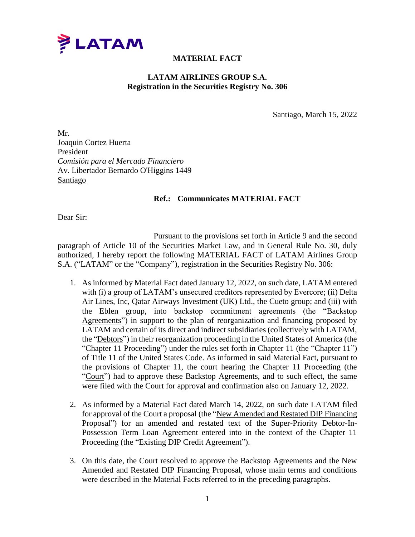

## **MATERIAL FACT**

## **LATAM AIRLINES GROUP S.A. Registration in the Securities Registry No. 306**

Santiago, March 15, 2022

Mr. Joaquin Cortez Huerta President *Comisión para el Mercado Financiero* Av. Libertador Bernardo O'Higgins 1449 Santiago

## **Ref.: Communicates MATERIAL FACT**

Dear Sir:

Pursuant to the provisions set forth in Article 9 and the second paragraph of Article 10 of the Securities Market Law, and in General Rule No. 30, duly authorized, I hereby report the following MATERIAL FACT of LATAM Airlines Group S.A. ("LATAM" or the "Company"), registration in the Securities Registry No. 306:

- 1. As informed by Material Fact dated January 12, 2022, on such date, LATAM entered with (i) a group of LATAM's unsecured creditors represented by Evercore; (ii) Delta Air Lines, Inc, Qatar Airways Investment (UK) Ltd., the Cueto group; and (iii) with the Eblen group, into backstop commitment agreements (the "Backstop Agreements") in support to the plan of reorganization and financing proposed by LATAM and certain of its direct and indirect subsidiaries (collectively with LATAM, the "Debtors") in their reorganization proceeding in the United States of America (the "Chapter 11 Proceeding") under the rules set forth in Chapter 11 (the "Chapter 11") of Title 11 of the United States Code. As informed in said Material Fact, pursuant to the provisions of Chapter 11, the court hearing the Chapter 11 Proceeding (the "Court") had to approve these Backstop Agreements, and to such effect, the same were filed with the Court for approval and confirmation also on January 12, 2022.
- 2. As informed by a Material Fact dated March 14, 2022, on such date LATAM filed for approval of the Court a proposal (the "New Amended and Restated DIP Financing Proposal") for an amended and restated text of the Super-Priority Debtor-In-Possession Term Loan Agreement entered into in the context of the Chapter 11 Proceeding (the "Existing DIP Credit Agreement").
- 3. On this date, the Court resolved to approve the Backstop Agreements and the New Amended and Restated DIP Financing Proposal, whose main terms and conditions were described in the Material Facts referred to in the preceding paragraphs.